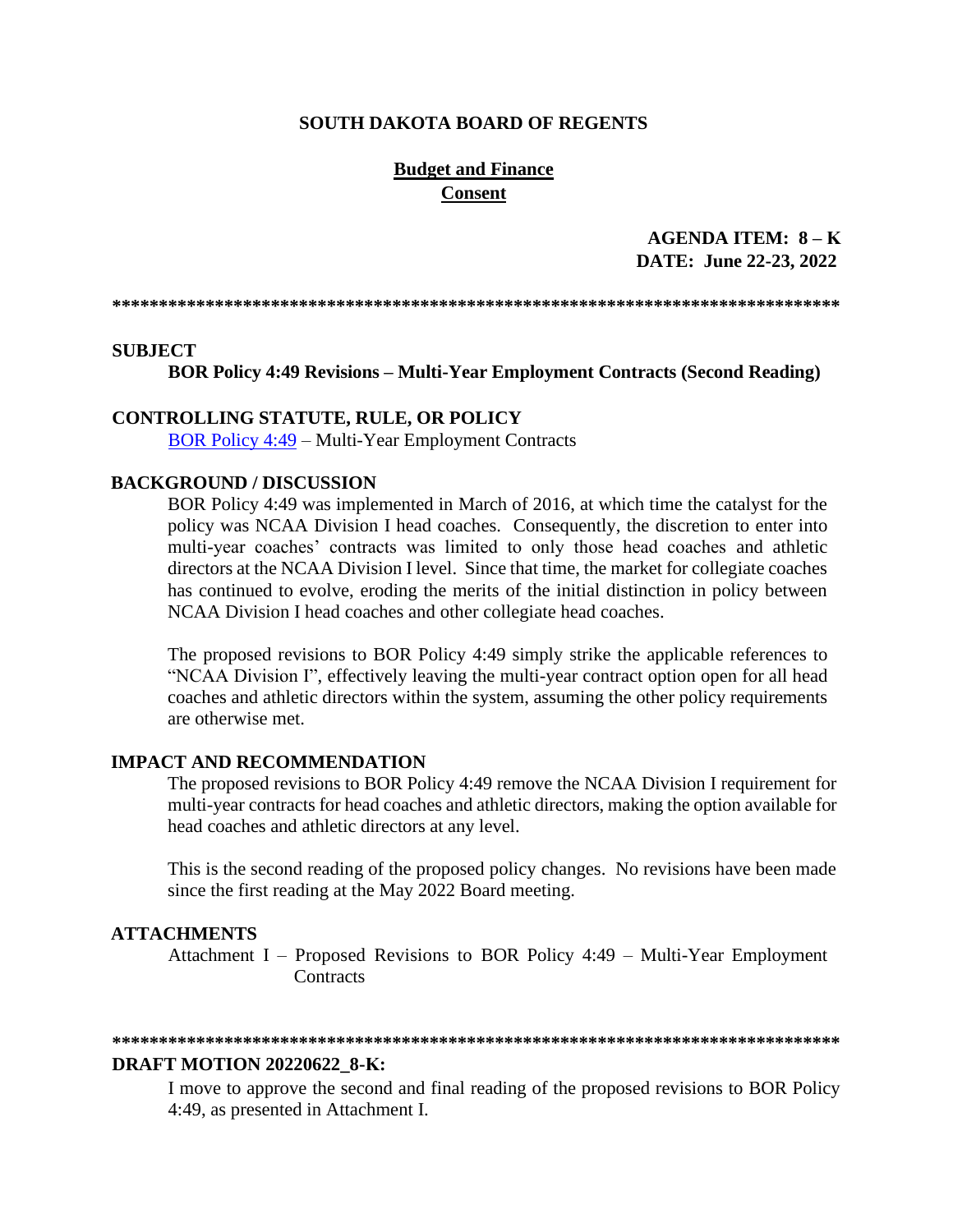#### **SOUTH DAKOTA BOARD OF REGENTS**

### **Budget and Finance Consent**

AGENDA ITEM:  $8 - K$ DATE: June 22-23, 2022

#### **SUBJECT**

**BOR Policy 4:49 Revisions – Multi-Year Employment Contracts (Second Reading)** 

#### **CONTROLLING STATUTE, RULE, OR POLICY**

**BOR Policy 4:49 – Multi-Year Employment Contracts** 

#### **BACKGROUND / DISCUSSION**

BOR Policy 4:49 was implemented in March of 2016, at which time the catalyst for the policy was NCAA Division I head coaches. Consequently, the discretion to enter into multi-year coaches' contracts was limited to only those head coaches and athletic directors at the NCAA Division I level. Since that time, the market for collegiate coaches has continued to evolve, eroding the merits of the initial distinction in policy between NCAA Division I head coaches and other collegiate head coaches.

The proposed revisions to BOR Policy 4:49 simply strike the applicable references to "NCAA Division I", effectively leaving the multi-year contract option open for all head coaches and athletic directors within the system, assuming the other policy requirements are otherwise met.

### **IMPACT AND RECOMMENDATION**

The proposed revisions to BOR Policy 4:49 remove the NCAA Division I requirement for multi-year contracts for head coaches and athletic directors, making the option available for head coaches and athletic directors at any level.

This is the second reading of the proposed policy changes. No revisions have been made since the first reading at the May 2022 Board meeting.

#### **ATTACHMENTS**

Attachment I – Proposed Revisions to BOR Policy 4:49 – Multi-Year Employment Contracts

#### **DRAFT MOTION 20220622 8-K:**

I move to approve the second and final reading of the proposed revisions to BOR Policy 4:49, as presented in Attachment I.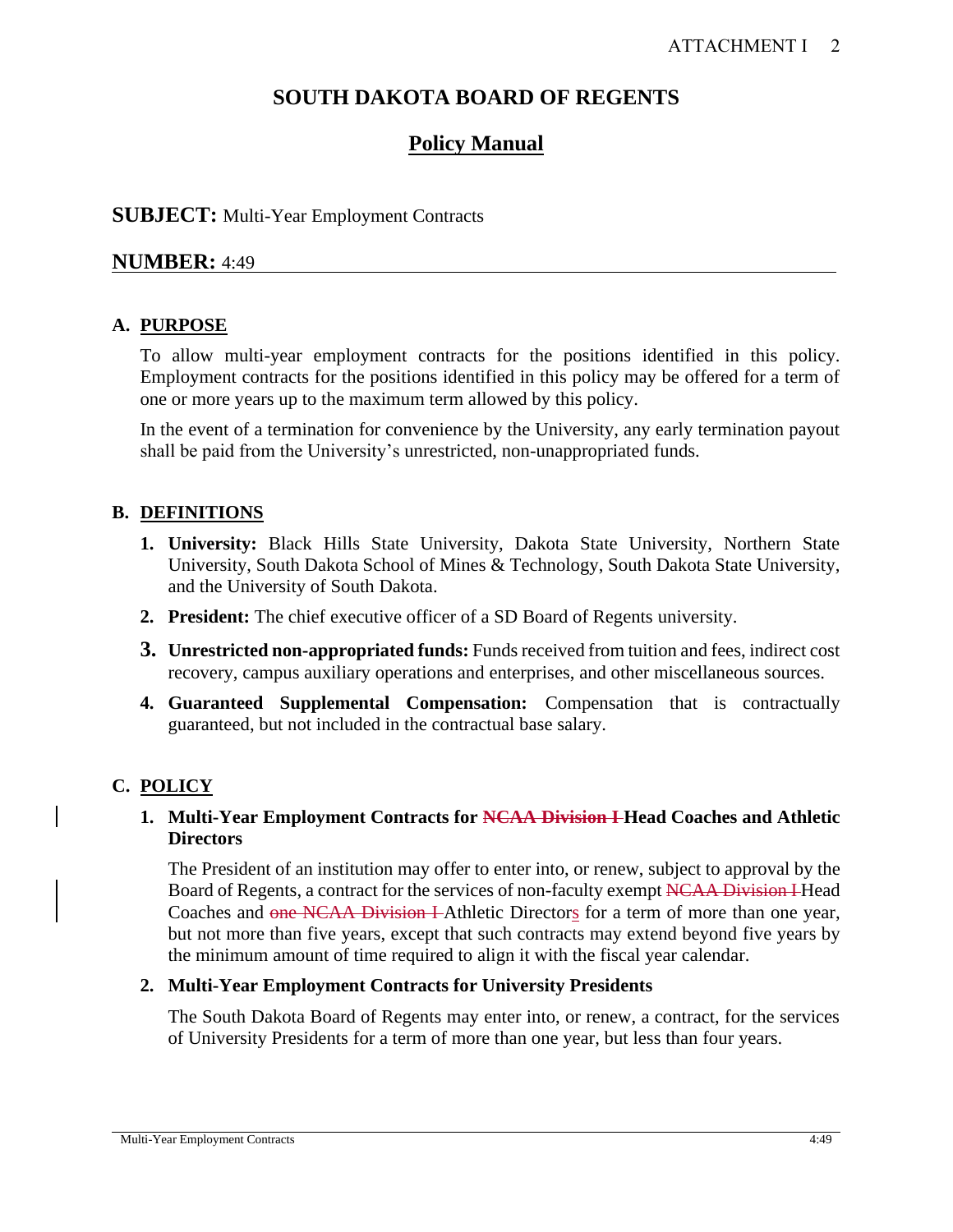# **SOUTH DAKOTA BOARD OF REGENTS**

# **Policy Manual**

## **SUBJECT:** Multi-Year Employment Contracts

## **NUMBER:** 4:49

## **A. PURPOSE**

To allow multi-year employment contracts for the positions identified in this policy. Employment contracts for the positions identified in this policy may be offered for a term of one or more years up to the maximum term allowed by this policy.

In the event of a termination for convenience by the University, any early termination payout shall be paid from the University's unrestricted, non-unappropriated funds.

## **B. DEFINITIONS**

- **1. University:** Black Hills State University, Dakota State University, Northern State University, South Dakota School of Mines & Technology, South Dakota State University, and the University of South Dakota.
- **2. President:** The chief executive officer of a SD Board of Regents university.
- **3. Unrestricted non-appropriated funds:** Funds received from tuition and fees, indirect cost recovery, campus auxiliary operations and enterprises, and other miscellaneous sources.
- **4. Guaranteed Supplemental Compensation:** Compensation that is contractually guaranteed, but not included in the contractual base salary.

# **C. POLICY**

### **1. Multi-Year Employment Contracts for NCAA Division I Head Coaches and Athletic Directors**

The President of an institution may offer to enter into, or renew, subject to approval by the Board of Regents, a contract for the services of non-faculty exempt NCAA Division I Head Coaches and one NCAA Division I Athletic Directors for a term of more than one year, but not more than five years, except that such contracts may extend beyond five years by the minimum amount of time required to align it with the fiscal year calendar.

### **2. Multi-Year Employment Contracts for University Presidents**

The South Dakota Board of Regents may enter into, or renew, a contract, for the services of University Presidents for a term of more than one year, but less than four years.